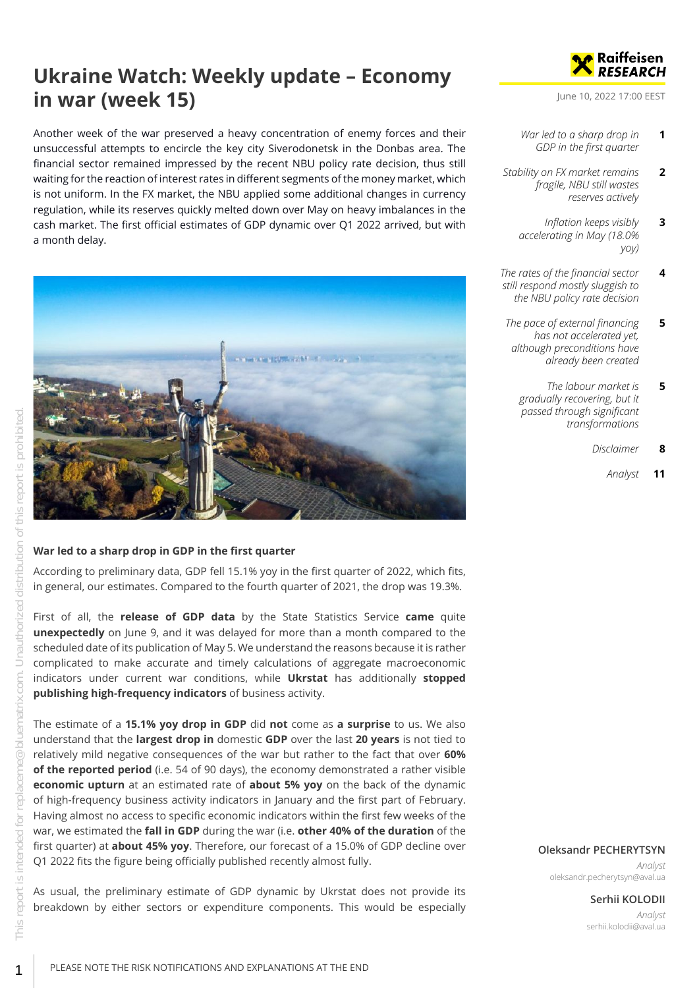# **Ukraine Watch: Weekly update – Economy in war (week 15)**

Another week of the war preserved a heavy concentration of enemy forces and their unsuccessful attempts to encircle the key city Siverodonetsk in the Donbas area. The financial sector remained impressed by the recent NBU policy rate decision, thus still waiting for the reaction of interest rates in different segments of the money market, which is not uniform. In the FX market, the NBU applied some additional changes in currency regulation, while its reserves quickly melted down over May on heavy imbalances in the cash market. The first official estimates of GDP dynamic over Q1 2022 arrived, but with a month delay.



#### <span id="page-0-0"></span>**War led to a sharp drop in GDP in the first quarter**

According to preliminary data, GDP fell 15.1% yoy in the first quarter of 2022, which fits, in general, our estimates. Compared to the fourth quarter of 2021, the drop was 19.3%.

First of all, the **release of GDP data** by the State Statistics Service **came** quite **unexpectedly** on June 9, and it was delayed for more than a month compared to the scheduled date of its publication of May 5. We understand the reasons because it is rather complicated to make accurate and timely calculations of aggregate macroeconomic indicators under current war conditions, while **Ukrstat** has additionally **stopped publishing high-frequency indicators** of business activity.

The estimate of a **15.1% yoy drop in GDP** did **not** come as **a surprise** to us. We also understand that the **largest drop in** domestic **GDP** over the last **20 years** is not tied to relatively mild negative consequences of the war but rather to the fact that over **60% of the reported period** (i.e. 54 of 90 days), the economy demonstrated a rather visible **economic upturn** at an estimated rate of **about 5% yoy** on the back of the dynamic of high-frequency business activity indicators in January and the first part of February. Having almost no access to specific economic indicators within the first few weeks of the war, we estimated the **fall in GDP** during the war (i.e. **other 40% of the duration** of the first quarter) at **about 45% yoy**. Therefore, our forecast of a 15.0% of GDP decline over Q1 2022 fits the figure being officially published recently almost fully.

As usual, the preliminary estimate of GDP dynamic by Ukrstat does not provide its breakdown by either sectors or expenditure components. This would be especially



June 10, 2022 17:00 EEST

- *[War led to a sharp drop in](#page-0-0) [GDP in the first quarter](#page-0-0)* **1**
- *[Stability on FX market remains](#page-1-0) [fragile, NBU still wastes](#page-1-0) [reserves actively](#page-1-0)* **2**
	- *[Inflation keeps visibly](#page-2-0) [accelerating in May \(18.0%](#page-2-0) [yoy\)](#page-2-0)* **3**
- *[The rates of the financial sector](#page-3-0) [still respond mostly sluggish to](#page-3-0) [the NBU policy rate decision](#page-3-0)* **4**
- *[The pace of external financing](#page-4-0) [has not accelerated yet,](#page-4-0) [although preconditions have](#page-4-0) [already been created](#page-4-0)* **5**
	- *[The labour market is](#page-4-1) [gradually recovering, but it](#page-4-1) [passed through significant](#page-4-1) [transformations](#page-4-1)* **5**
		- *[Disclaimer](#page-7-0)* **8**
			- *[Analyst](#page-10-0)* **11**

#### **Oleksandr PECHERYTSYN**

*Analyst* oleksandr.pecherytsyn@aval.ua

#### **Serhii KOLODII**

*Analyst* serhii.kolodii@aval.ua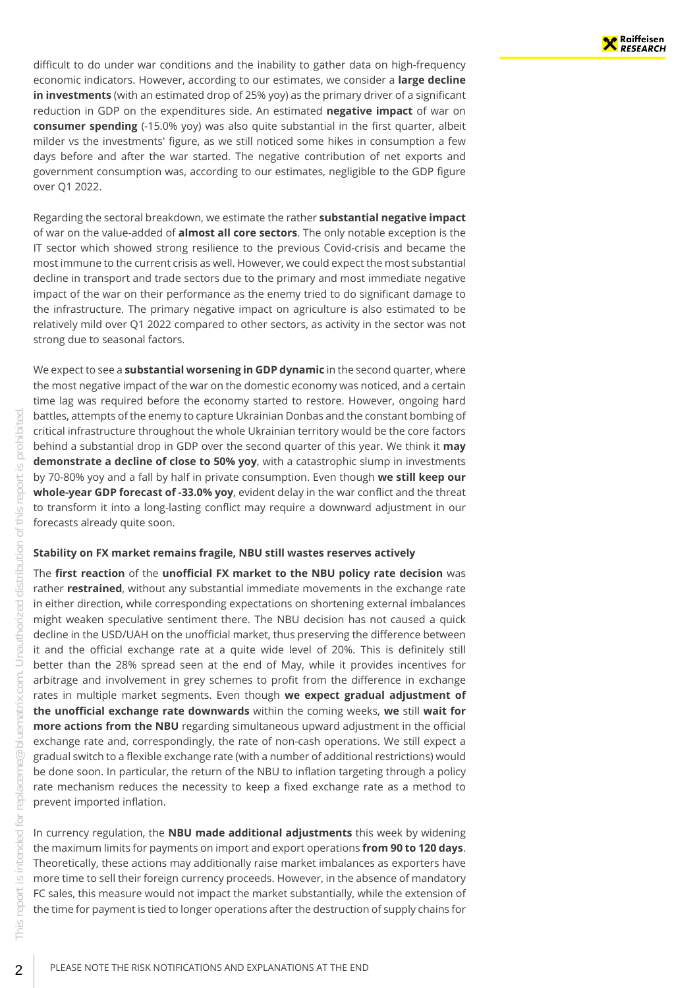difficult to do under war conditions and the inability to gather data on high-frequency economic indicators. However, according to our estimates, we consider a **large decline in investments** (with an estimated drop of 25% yoy) as the primary driver of a significant reduction in GDP on the expenditures side. An estimated **negative impact** of war on **consumer spending** (-15.0% yoy) was also quite substantial in the first quarter, albeit milder vs the investments' figure, as we still noticed some hikes in consumption a few days before and after the war started. The negative contribution of net exports and government consumption was, according to our estimates, negligible to the GDP figure over Q1 2022.

Regarding the sectoral breakdown, we estimate the rather **substantial negative impact** of war on the value-added of **almost all core sectors**. The only notable exception is the IT sector which showed strong resilience to the previous Covid-crisis and became the most immune to the current crisis as well. However, we could expect the most substantial decline in transport and trade sectors due to the primary and most immediate negative impact of the war on their performance as the enemy tried to do significant damage to the infrastructure. The primary negative impact on agriculture is also estimated to be relatively mild over Q1 2022 compared to other sectors, as activity in the sector was not strong due to seasonal factors.

We expect to see a **substantial worsening in GDP dynamic** in the second quarter, where the most negative impact of the war on the domestic economy was noticed, and a certain time lag was required before the economy started to restore. However, ongoing hard battles, attempts of the enemy to capture Ukrainian Donbas and the constant bombing of critical infrastructure throughout the whole Ukrainian territory would be the core factors behind a substantial drop in GDP over the second quarter of this year. We think it **may demonstrate a decline of close to 50% yoy**, with a catastrophic slump in investments by 70-80% yoy and a fall by half in private consumption. Even though **we still keep our whole-year GDP forecast of -33.0% yoy**, evident delay in the war conflict and the threat to transform it into a long-lasting conflict may require a downward adjustment in our forecasts already quite soon.

#### <span id="page-1-0"></span>**Stability on FX market remains fragile, NBU still wastes reserves actively**

The **first reaction** of the **unofficial FX market to the NBU policy rate decision** was rather **restrained**, without any substantial immediate movements in the exchange rate in either direction, while corresponding expectations on shortening external imbalances might weaken speculative sentiment there. The NBU decision has not caused a quick decline in the USD/UAH on the unofficial market, thus preserving the difference between it and the official exchange rate at a quite wide level of 20%. This is definitely still better than the 28% spread seen at the end of May, while it provides incentives for arbitrage and involvement in grey schemes to profit from the difference in exchange rates in multiple market segments. Even though **we expect gradual adjustment of the unofficial exchange rate downwards** within the coming weeks, **we** still **wait for more actions from the NBU** regarding simultaneous upward adjustment in the official exchange rate and, correspondingly, the rate of non-cash operations. We still expect a gradual switch to a flexible exchange rate (with a number of additional restrictions) would be done soon. In particular, the return of the NBU to inflation targeting through a policy rate mechanism reduces the necessity to keep a fixed exchange rate as a method to prevent imported inflation.

In currency regulation, the **NBU made additional adjustments** this week by widening the maximum limits for payments on import and export operations **from 90 to 120 days**. Theoretically, these actions may additionally raise market imbalances as exporters have more time to sell their foreign currency proceeds. However, in the absence of mandatory FC sales, this measure would not impact the market substantially, while the extension of the time for payment is tied to longer operations after the destruction of supply chains for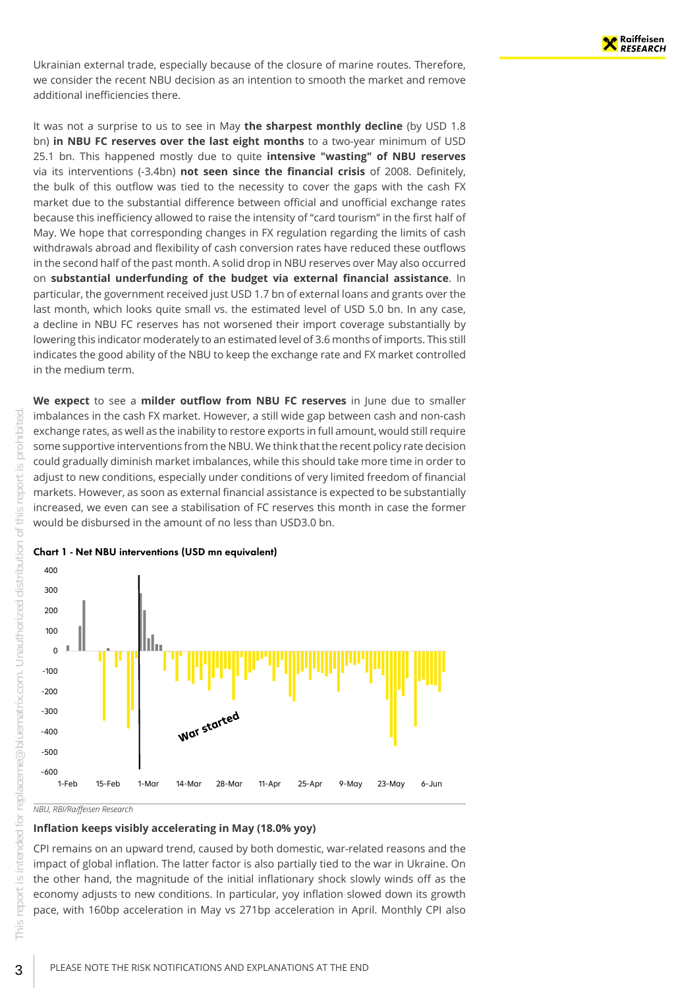Ukrainian external trade, especially because of the closure of marine routes. Therefore, we consider the recent NBU decision as an intention to smooth the market and remove additional inefficiencies there.

It was not a surprise to us to see in May **the sharpest monthly decline** (by USD 1.8 bn) **in NBU FC reserves over the last eight months** to a two-year minimum of USD 25.1 bn. This happened mostly due to quite **intensive "wasting" of NBU reserves** via its interventions (-3.4bn) **not seen since the financial crisis** of 2008. Definitely, the bulk of this outflow was tied to the necessity to cover the gaps with the cash FX market due to the substantial difference between official and unofficial exchange rates because this inefficiency allowed to raise the intensity of "card tourism" in the first half of May. We hope that corresponding changes in FX regulation regarding the limits of cash withdrawals abroad and flexibility of cash conversion rates have reduced these outflows in the second half of the past month. A solid drop in NBU reserves over May also occurred on **substantial underfunding of the budget via external financial assistance**. In particular, the government received just USD 1.7 bn of external loans and grants over the last month, which looks quite small vs. the estimated level of USD 5.0 bn. In any case, a decline in NBU FC reserves has not worsened their import coverage substantially by lowering this indicator moderately to an estimated level of 3.6 months of imports. This still indicates the good ability of the NBU to keep the exchange rate and FX market controlled in the medium term.

**We expect** to see a **milder outflow from NBU FC reserves** in June due to smaller imbalances in the cash FX market. However, a still wide gap between cash and non-cash exchange rates, as well as the inability to restore exports in full amount, would still require some supportive interventions from the NBU. We think that the recent policy rate decision could gradually diminish market imbalances, while this should take more time in order to adjust to new conditions, especially under conditions of very limited freedom of financial markets. However, as soon as external financial assistance is expected to be substantially increased, we even can see a stabilisation of FC reserves this month in case the former would be disbursed in the amount of no less than USD3.0 bn.



Chart 1 - Net NBU interventions (USD mn equivalent)

*NBU, RBI/Raiffeisen Research*

### <span id="page-2-0"></span>**Inflation keeps visibly accelerating in May (18.0% yoy)**

CPI remains on an upward trend, caused by both domestic, war-related reasons and the impact of global inflation. The latter factor is also partially tied to the war in Ukraine. On the other hand, the magnitude of the initial inflationary shock slowly winds off as the economy adjusts to new conditions. In particular, yoy inflation slowed down its growth pace, with 160bp acceleration in May vs 271bp acceleration in April. Monthly CPI also

 $\bigcirc$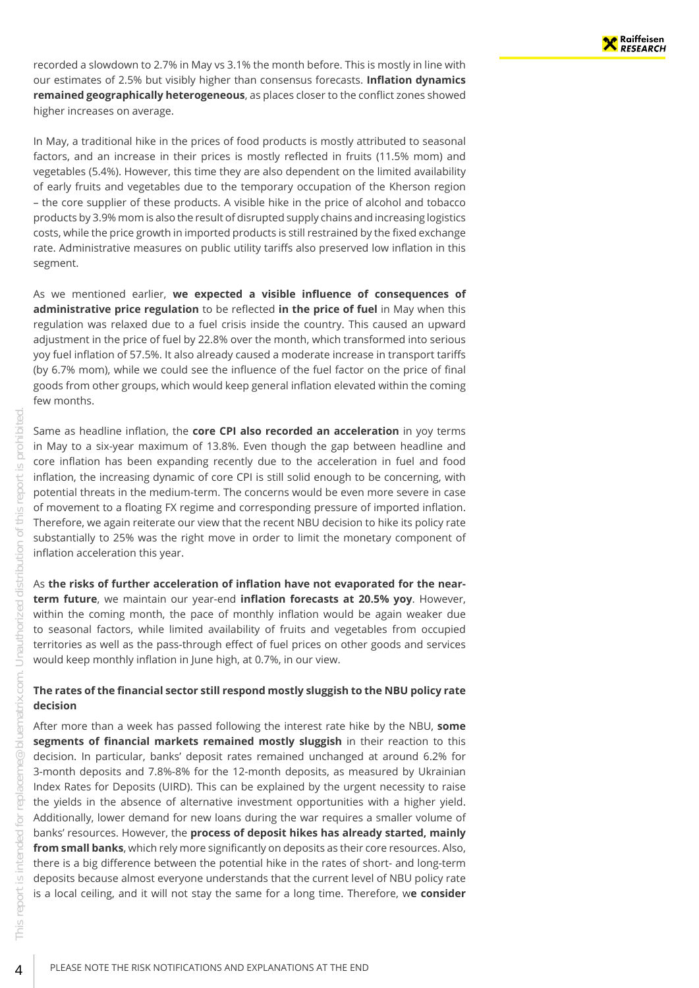recorded a slowdown to 2.7% in May vs 3.1% the month before. This is mostly in line with our estimates of 2.5% but visibly higher than consensus forecasts. **Inflation dynamics remained geographically heterogeneous**, as places closer to the conflict zones showed higher increases on average.

In May, a traditional hike in the prices of food products is mostly attributed to seasonal factors, and an increase in their prices is mostly reflected in fruits (11.5% mom) and vegetables (5.4%). However, this time they are also dependent on the limited availability of early fruits and vegetables due to the temporary occupation of the Kherson region – the core supplier of these products. A visible hike in the price of alcohol and tobacco products by 3.9% mom is also the result of disrupted supply chains and increasing logistics costs, while the price growth in imported products is still restrained by the fixed exchange rate. Administrative measures on public utility tariffs also preserved low inflation in this segment.

As we mentioned earlier, **we expected a visible influence of consequences of administrative price regulation** to be reflected **in the price of fuel** in May when this regulation was relaxed due to a fuel crisis inside the country. This caused an upward adjustment in the price of fuel by 22.8% over the month, which transformed into serious yoy fuel inflation of 57.5%. It also already caused a moderate increase in transport tariffs (by 6.7% mom), while we could see the influence of the fuel factor on the price of final goods from other groups, which would keep general inflation elevated within the coming few months.

Same as headline inflation, the **core CPI also recorded an acceleration** in yoy terms in May to a six-year maximum of 13.8%. Even though the gap between headline and core inflation has been expanding recently due to the acceleration in fuel and food inflation, the increasing dynamic of core CPI is still solid enough to be concerning, with potential threats in the medium-term. The concerns would be even more severe in case of movement to a floating FX regime and corresponding pressure of imported inflation. Therefore, we again reiterate our view that the recent NBU decision to hike its policy rate substantially to 25% was the right move in order to limit the monetary component of inflation acceleration this year.

As **the risks of further acceleration of inflation have not evaporated for the nearterm future**, we maintain our year-end **inflation forecasts at 20.5% yoy**. However, within the coming month, the pace of monthly inflation would be again weaker due to seasonal factors, while limited availability of fruits and vegetables from occupied territories as well as the pass-through effect of fuel prices on other goods and services would keep monthly inflation in June high, at 0.7%, in our view.

#### <span id="page-3-0"></span>**The rates of the financial sector still respond mostly sluggish to the NBU policy rate decision**

After more than a week has passed following the interest rate hike by the NBU, **some segments of financial markets remained mostly sluggish** in their reaction to this decision. In particular, banks' deposit rates remained unchanged at around 6.2% for 3-month deposits and 7.8%-8% for the 12-month deposits, as measured by Ukrainian Index Rates for Deposits (UIRD). This can be explained by the urgent necessity to raise the yields in the absence of alternative investment opportunities with a higher yield. Additionally, lower demand for new loans during the war requires a smaller volume of banks' resources. However, the **process of deposit hikes has already started, mainly from small banks**, which rely more significantly on deposits as their core resources. Also, there is a big difference between the potential hike in the rates of short- and long-term deposits because almost everyone understands that the current level of NBU policy rate is a local ceiling, and it will not stay the same for a long time. Therefore, w**e consider**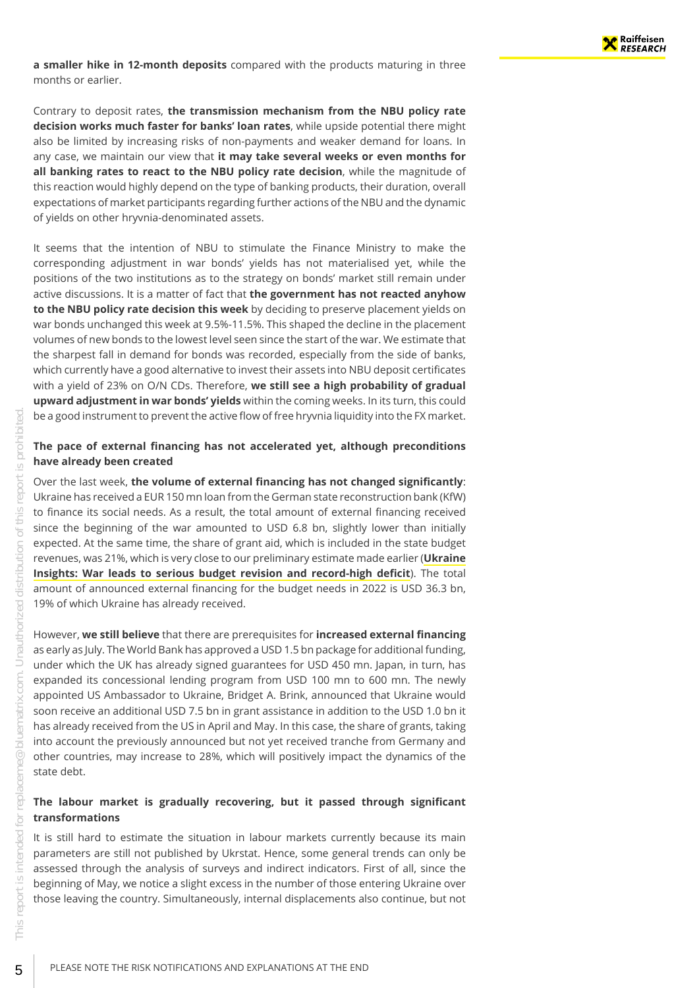**a smaller hike in 12-month deposits** compared with the products maturing in three months or earlier.

Contrary to deposit rates, **the transmission mechanism from the NBU policy rate decision works much faster for banks' loan rates**, while upside potential there might also be limited by increasing risks of non-payments and weaker demand for loans. In any case, we maintain our view that **it may take several weeks or even months for all banking rates to react to the NBU policy rate decision**, while the magnitude of this reaction would highly depend on the type of banking products, their duration, overall expectations of market participants regarding further actions of the NBU and the dynamic of yields on other hryvnia-denominated assets.

It seems that the intention of NBU to stimulate the Finance Ministry to make the corresponding adjustment in war bonds' yields has not materialised yet, while the positions of the two institutions as to the strategy on bonds' market still remain under active discussions. It is a matter of fact that **the government has not reacted anyhow to the NBU policy rate decision this week** by deciding to preserve placement yields on war bonds unchanged this week at 9.5%-11.5%. This shaped the decline in the placement volumes of new bonds to the lowest level seen since the start of the war. We estimate that the sharpest fall in demand for bonds was recorded, especially from the side of banks, which currently have a good alternative to invest their assets into NBU deposit certificates with a yield of 23% on O/N CDs. Therefore, **we still see a high probability of gradual upward adjustment in war bonds' yields** within the coming weeks. In its turn, this could be a good instrument to prevent the active flow of free hryvnia liquidity into the FX market.

#### <span id="page-4-0"></span>**The pace of external financing has not accelerated yet, although preconditions have already been created**

Over the last week, **the volume of external financing has not changed significantly**: Ukraine has received a EUR 150 mn loan from the German state reconstruction bank (KfW) to finance its social needs. As a result, the total amount of external financing received since the beginning of the war amounted to USD 6.8 bn, slightly lower than initially expected. At the same time, the share of grant aid, which is included in the state budget revenues, was 21%, which is very close to our preliminary estimate made earlier (**[Ukraine](https://raiffeisenresearch.bluematrix.com/sellside/EmailDocViewer?mime=html&co=raiffeisenresearch&id=replaceme@bluematrix.com&source=mail&encrypt=f71ca732-a9d1-4235-8b74-64af7d2e4b6d) [Insights: War leads to serious budget revision and record-high deficit](https://raiffeisenresearch.bluematrix.com/sellside/EmailDocViewer?mime=html&co=raiffeisenresearch&id=replaceme@bluematrix.com&source=mail&encrypt=f71ca732-a9d1-4235-8b74-64af7d2e4b6d)**). The total amount of announced external financing for the budget needs in 2022 is USD 36.3 bn, 19% of which Ukraine has already received.

However, **we still believe** that there are prerequisites for **increased external financing** as early as July. The World Bank has approved a USD 1.5 bn package for additional funding, under which the UK has already signed guarantees for USD 450 mn. Japan, in turn, has expanded its concessional lending program from USD 100 mn to 600 mn. The newly appointed US Ambassador to Ukraine, Bridget A. Brink, announced that Ukraine would soon receive an additional USD 7.5 bn in grant assistance in addition to the USD 1.0 bn it has already received from the US in April and May. In this case, the share of grants, taking into account the previously announced but not yet received tranche from Germany and other countries, may increase to 28%, which will positively impact the dynamics of the state debt.

#### <span id="page-4-1"></span>**The labour market is gradually recovering, but it passed through significant transformations**

It is still hard to estimate the situation in labour markets currently because its main parameters are still not published by Ukrstat. Hence, some general trends can only be assessed through the analysis of surveys and indirect indicators. First of all, since the beginning of May, we notice a slight excess in the number of those entering Ukraine over those leaving the country. Simultaneously, internal displacements also continue, but not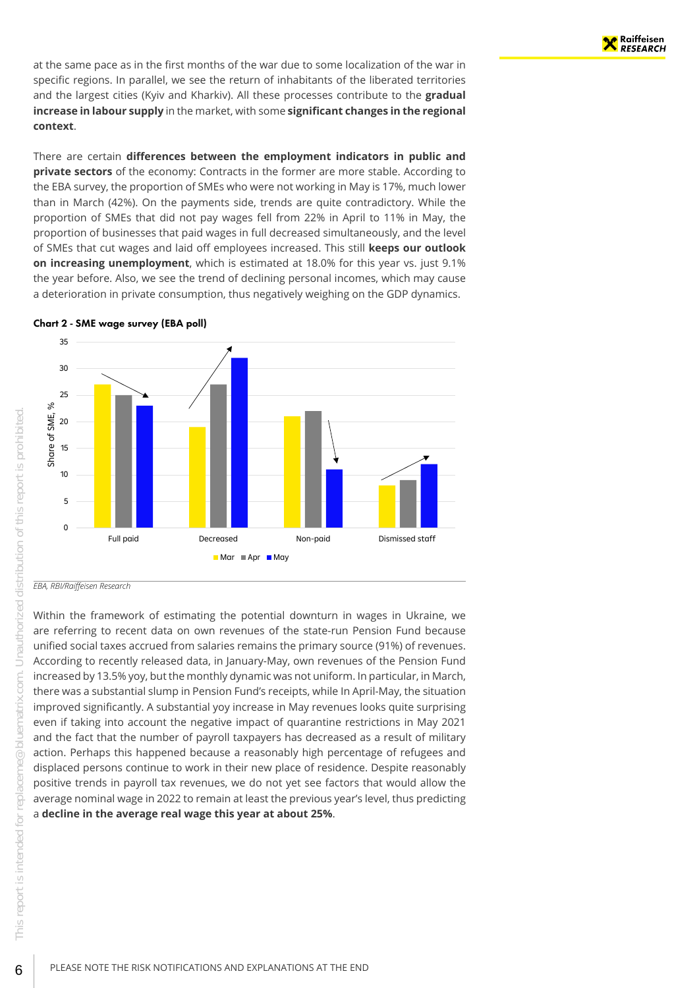at the same pace as in the first months of the war due to some localization of the war in specific regions. In parallel, we see the return of inhabitants of the liberated territories and the largest cities (Kyiv and Kharkiv). All these processes contribute to the **gradual increase in labour supply** in the market, with some **significant changes in the regional context**.

There are certain **differences between the employment indicators in public and private sectors** of the economy: Contracts in the former are more stable. According to the EBA survey, the proportion of SMEs who were not working in May is 17%, much lower than in March (42%). On the payments side, trends are quite contradictory. While the proportion of SMEs that did not pay wages fell from 22% in April to 11% in May, the proportion of businesses that paid wages in full decreased simultaneously, and the level of SMEs that cut wages and laid off employees increased. This still **keeps our outlook on increasing unemployment**, which is estimated at 18.0% for this year vs. just 9.1% the year before. Also, we see the trend of declining personal incomes, which may cause a deterioration in private consumption, thus negatively weighing on the GDP dynamics.



#### Chart 2 - SME wage survey (EBA poll)

*EBA, RBI/Raiffeisen Research*

Within the framework of estimating the potential downturn in wages in Ukraine, we are referring to recent data on own revenues of the state-run Pension Fund because unified social taxes accrued from salaries remains the primary source (91%) of revenues. According to recently released data, in January-May, own revenues of the Pension Fund increased by 13.5% yoy, but the monthly dynamic was not uniform. In particular, in March, there was a substantial slump in Pension Fund's receipts, while In April-May, the situation improved significantly. A substantial yoy increase in May revenues looks quite surprising even if taking into account the negative impact of quarantine restrictions in May 2021 and the fact that the number of payroll taxpayers has decreased as a result of military action. Perhaps this happened because a reasonably high percentage of refugees and displaced persons continue to work in their new place of residence. Despite reasonably positive trends in payroll tax revenues, we do not yet see factors that would allow the average nominal wage in 2022 to remain at least the previous year's level, thus predicting a **decline in the average real wage this year at about 25%**.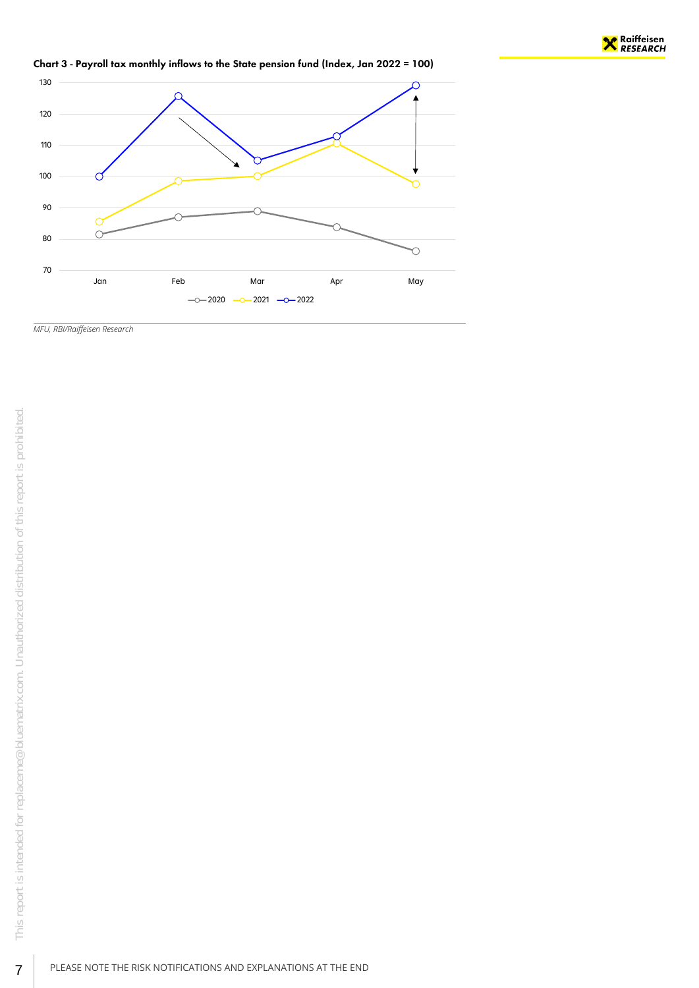

Chart 3 - Payroll tax monthly inflows to the State pension fund (Index, Jan 2022 = 100)



*MFU, RBI/Raiffeisen Research*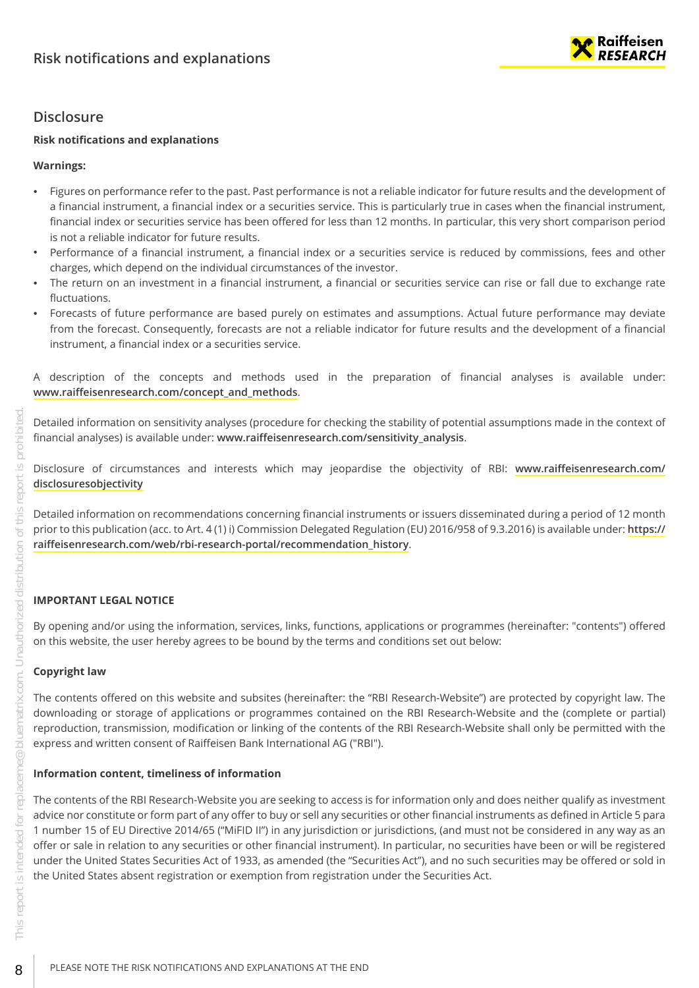

## <span id="page-7-0"></span>**Disclosure**

#### **Risk notifications and explanations**

#### **Warnings:**

- Figures on performance refer to the past. Past performance is not a reliable indicator for future results and the development of a financial instrument, a financial index or a securities service. This is particularly true in cases when the financial instrument, financial index or securities service has been offered for less than 12 months. In particular, this very short comparison period is not a reliable indicator for future results.
- Performance of a financial instrument, a financial index or a securities service is reduced by commissions, fees and other charges, which depend on the individual circumstances of the investor.
- The return on an investment in a financial instrument, a financial or securities service can rise or fall due to exchange rate fluctuations.
- Forecasts of future performance are based purely on estimates and assumptions. Actual future performance may deviate from the forecast. Consequently, forecasts are not a reliable indicator for future results and the development of a financial instrument, a financial index or a securities service.

A description of the concepts and methods used in the preparation of financial analyses is available under: **[www.raiffeisenresearch.com/concept\\_and\\_methods](https://www.raiffeisenresearch.com/concept_and_methods)**.

Detailed information on sensitivity analyses (procedure for checking the stability of potential assumptions made in the context of financial analyses) is available under: **[www.raiffeisenresearch.com/sensitivity\\_analysis](https://www.raiffeisenresearch.com/sensitivity_analysis)**.

Disclosure of circumstances and interests which may jeopardise the objectivity of RBI: **[www.raiffeisenresearch.com/](https://www.raiffeisenresearch.com/disclosuresobjectivity) [disclosuresobjectivity](https://www.raiffeisenresearch.com/disclosuresobjectivity)**

Detailed information on recommendations concerning financial instruments or issuers disseminated during a period of 12 month prior to this publication (acc. to Art. 4 (1) i) Commission Delegated Regulation (EU) 2016/958 of 9.3.2016) is available under: **[https://](https://raiffeisenresearch.com/web/rbi-research-portal/recommendation_history) [raiffeisenresearch.com/web/rbi-research-portal/recommendation\\_history](https://raiffeisenresearch.com/web/rbi-research-portal/recommendation_history)**.

#### **IMPORTANT LEGAL NOTICE**

By opening and/or using the information, services, links, functions, applications or programmes (hereinafter: "contents") offered on this website, the user hereby agrees to be bound by the terms and conditions set out below:

#### **Copyright law**

The contents offered on this website and subsites (hereinafter: the "RBI Research-Website") are protected by copyright law. The downloading or storage of applications or programmes contained on the RBI Research-Website and the (complete or partial) reproduction, transmission, modification or linking of the contents of the RBI Research-Website shall only be permitted with the express and written consent of Raiffeisen Bank International AG ("RBI").

#### **Information content, timeliness of information**

The contents of the RBI Research-Website you are seeking to access is for information only and does neither qualify as investment advice nor constitute or form part of any offer to buy or sell any securities or other financial instruments as defined in Article 5 para 1 number 15 of EU Directive 2014/65 ("MiFID II") in any jurisdiction or jurisdictions, (and must not be considered in any way as an offer or sale in relation to any securities or other financial instrument). In particular, no securities have been or will be registered under the United States Securities Act of 1933, as amended (the "Securities Act"), and no such securities may be offered or sold in the United States absent registration or exemption from registration under the Securities Act.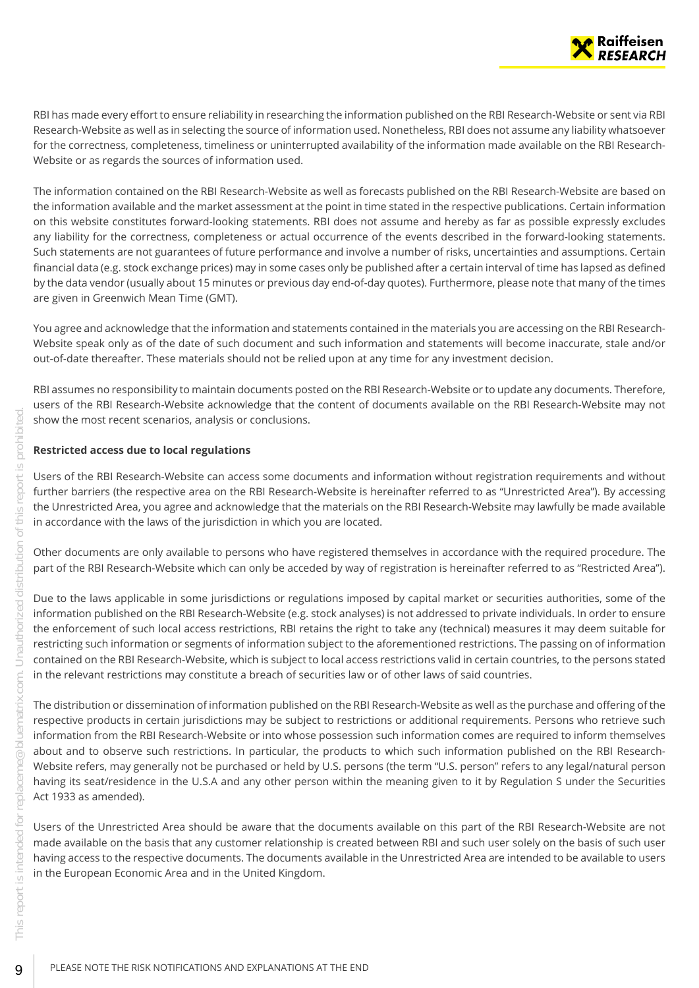

RBI has made every effort to ensure reliability in researching the information published on the RBI Research-Website or sent via RBI Research-Website as well as in selecting the source of information used. Nonetheless, RBI does not assume any liability whatsoever for the correctness, completeness, timeliness or uninterrupted availability of the information made available on the RBI Research-Website or as regards the sources of information used.

The information contained on the RBI Research-Website as well as forecasts published on the RBI Research-Website are based on the information available and the market assessment at the point in time stated in the respective publications. Certain information on this website constitutes forward-looking statements. RBI does not assume and hereby as far as possible expressly excludes any liability for the correctness, completeness or actual occurrence of the events described in the forward-looking statements. Such statements are not guarantees of future performance and involve a number of risks, uncertainties and assumptions. Certain financial data (e.g. stock exchange prices) may in some cases only be published after a certain interval of time has lapsed as defined by the data vendor (usually about 15 minutes or previous day end-of-day quotes). Furthermore, please note that many of the times are given in Greenwich Mean Time (GMT).

You agree and acknowledge that the information and statements contained in the materials you are accessing on the RBI Research-Website speak only as of the date of such document and such information and statements will become inaccurate, stale and/or out-of-date thereafter. These materials should not be relied upon at any time for any investment decision.

RBI assumes no responsibility to maintain documents posted on the RBI Research-Website or to update any documents. Therefore, users of the RBI Research-Website acknowledge that the content of documents available on the RBI Research-Website may not show the most recent scenarios, analysis or conclusions.

#### **Restricted access due to local regulations**

Users of the RBI Research-Website can access some documents and information without registration requirements and without further barriers (the respective area on the RBI Research-Website is hereinafter referred to as "Unrestricted Area"). By accessing the Unrestricted Area, you agree and acknowledge that the materials on the RBI Research-Website may lawfully be made available in accordance with the laws of the jurisdiction in which you are located.

Other documents are only available to persons who have registered themselves in accordance with the required procedure. The part of the RBI Research-Website which can only be acceded by way of registration is hereinafter referred to as "Restricted Area").

Due to the laws applicable in some jurisdictions or regulations imposed by capital market or securities authorities, some of the information published on the RBI Research-Website (e.g. stock analyses) is not addressed to private individuals. In order to ensure the enforcement of such local access restrictions, RBI retains the right to take any (technical) measures it may deem suitable for restricting such information or segments of information subject to the aforementioned restrictions. The passing on of information contained on the RBI Research-Website, which is subject to local access restrictions valid in certain countries, to the persons stated in the relevant restrictions may constitute a breach of securities law or of other laws of said countries.

The distribution or dissemination of information published on the RBI Research-Website as well as the purchase and offering of the respective products in certain jurisdictions may be subject to restrictions or additional requirements. Persons who retrieve such information from the RBI Research-Website or into whose possession such information comes are required to inform themselves about and to observe such restrictions. In particular, the products to which such information published on the RBI Research-Website refers, may generally not be purchased or held by U.S. persons (the term "U.S. person" refers to any legal/natural person having its seat/residence in the U.S.A and any other person within the meaning given to it by Regulation S under the Securities Act 1933 as amended).

Users of the Unrestricted Area should be aware that the documents available on this part of the RBI Research-Website are not made available on the basis that any customer relationship is created between RBI and such user solely on the basis of such user having access to the respective documents. The documents available in the Unrestricted Area are intended to be available to users in the European Economic Area and in the United Kingdom.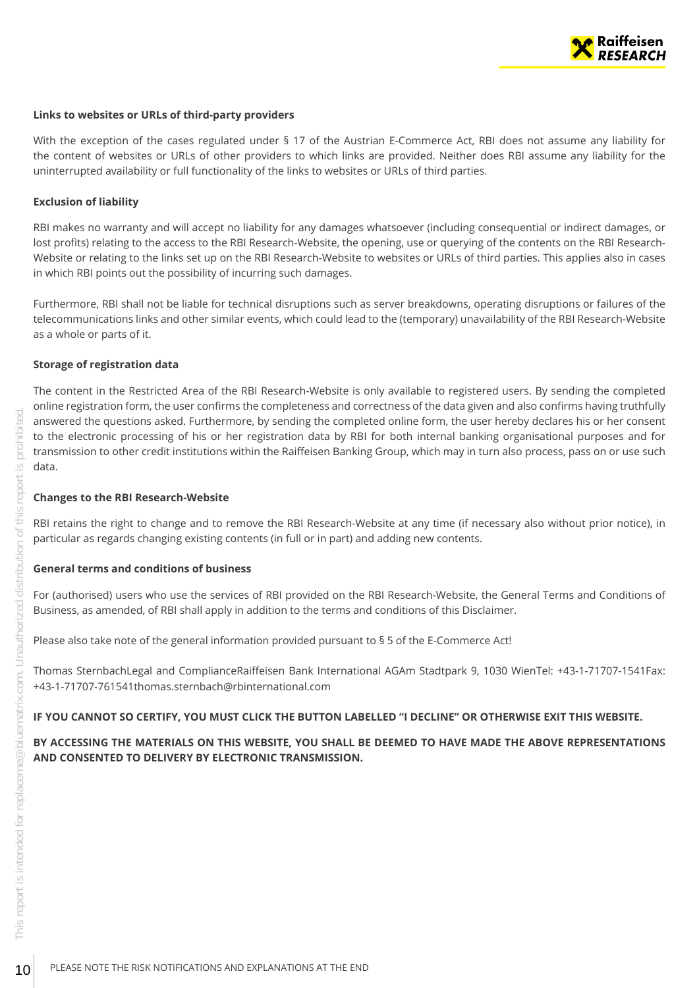

#### **Links to websites or URLs of third-party providers**

With the exception of the cases regulated under § 17 of the Austrian E-Commerce Act, RBI does not assume any liability for the content of websites or URLs of other providers to which links are provided. Neither does RBI assume any liability for the uninterrupted availability or full functionality of the links to websites or URLs of third parties.

#### **Exclusion of liability**

RBI makes no warranty and will accept no liability for any damages whatsoever (including consequential or indirect damages, or lost profits) relating to the access to the RBI Research-Website, the opening, use or querying of the contents on the RBI Research-Website or relating to the links set up on the RBI Research-Website to websites or URLs of third parties. This applies also in cases in which RBI points out the possibility of incurring such damages.

Furthermore, RBI shall not be liable for technical disruptions such as server breakdowns, operating disruptions or failures of the telecommunications links and other similar events, which could lead to the (temporary) unavailability of the RBI Research-Website as a whole or parts of it.

#### **Storage of registration data**

The content in the Restricted Area of the RBI Research-Website is only available to registered users. By sending the completed online registration form, the user confirms the completeness and correctness of the data given and also confirms having truthfully answered the questions asked. Furthermore, by sending the completed online form, the user hereby declares his or her consent to the electronic processing of his or her registration data by RBI for both internal banking organisational purposes and for transmission to other credit institutions within the Raiffeisen Banking Group, which may in turn also process, pass on or use such data. The mass term of the determined the questions and the complete the question of the electronic processing of his or her registration data by RBI Extension to other credit institutions within the Raiffeisen Banking Control c

#### **Changes to the RBI Research-Website**

RBI retains the right to change and to remove the RBI Research-Website at any time (if necessary also without prior notice), in particular as regards changing existing contents (in full or in part) and adding new contents.

#### **General terms and conditions of business**

For (authorised) users who use the services of RBI provided on the RBI Research-Website, the General Terms and Conditions of Business, as amended, of RBI shall apply in addition to the terms and conditions of this Disclaimer.

Please also take note of the general information provided pursuant to § 5 of the E-Commerce Act!

Thomas SternbachLegal and ComplianceRaiffeisen Bank International AGAm Stadtpark 9, 1030 WienTel: +43-1-71707-1541Fax: +43-1-71707-761541thomas.sternbach@rbinternational.com

#### **IF YOU CANNOT SO CERTIFY, YOU MUST CLICK THE BUTTON LABELLED "I DECLINE" OR OTHERWISE EXIT THIS WEBSITE.**

#### **BY ACCESSING THE MATERIALS ON THIS WEBSITE, YOU SHALL BE DEEMED TO HAVE MADE THE ABOVE REPRESENTATIONS AND CONSENTED TO DELIVERY BY ELECTRONIC TRANSMISSION.**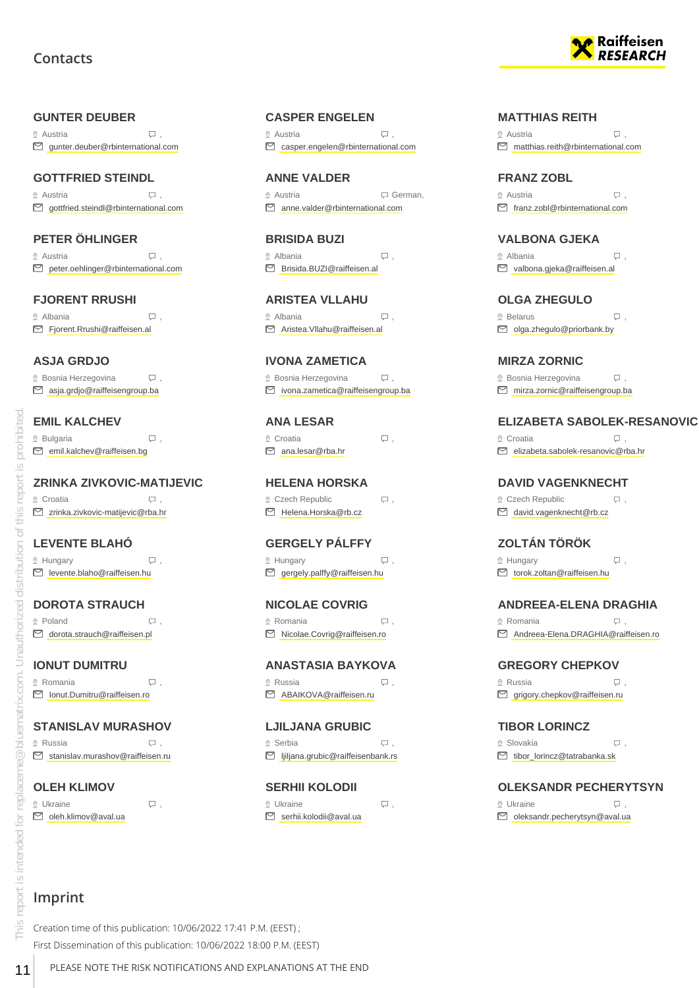## **Contacts**

#### <span id="page-10-0"></span>**GUNTER DEUBER**

 $\Omega$  Austria  $\Box$ gunter.deuber@rbinternational.com

#### **GOTTFRIED STEINDL**

 Austria , gottfried.steindl@rbinternational.com

#### **PETER ÖHLINGER**

 $\heartsuit$  Austria  $\heartsuit$ , D peter.oehlinger@rbinternational.com

#### **FJORENT RRUSHI**

 Albania , ■ Fjorent.Rrushi@raiffeisen.al

#### **ASJA GRDJO**

 $\Omega$  Bosnia Herzegovina  $\Box$ asja.grdjo@raiffeisengroup.ba

#### **EMIL KALCHEV**

 $\mathcal{D}$  Bulgaria  $\Box$ , emil.kalchev@raiffeisen.bg

#### **ZRINKA ZIVKOVIC-MATIJEVIC**

© Croatia , Q . zrinka.zivkovic-matijevic@rba.hr

# **LEVENTE BLAHÓ**

 $\mathcal{Q}$  Hungary  $\Box$ levente.blaho@raiffeisen.hu

#### **DOROTA STRAUCH** ◎ Poland , Q .

dorota.strauch@raiffeisen.pl

#### **IONUT DUMITRU**  $\Omega$  Romania  $\Box$ ,

Ionut.Dumitru@raiffeisen.ro

### **STANISLAV MURASHOV**

 $\circ$  Russia ,  $\Box$ S stanislav.murashov@raiffeisen.ru

**OLEH KLIMOV**  $\mathcal{Q}$  Ukraine  $\mathcal{Q}$ . oleh.klimov@aval.ua

#### **CASPER ENGELEN**

 $\Omega$  Austria  $\Box$ casper.engelen@rbinternational.com

**ANNE VALDER** Austria German, anne.valder@rbinternational.com

**BRISIDA BUZI**  $\circ$  Albania  $\qquad \qquad \Box$ Brisida.BUZI@raiffeisen.al

**ARISTEA VLLAHU** Albania , Aristea.Vllahu@raiffeisen.al

**IVONA ZAMETICA**  $\Omega$  Bosnia Herzegovina  $\Box$ ivona.zametica@raiffeisengroup.ba

# **ANA LESAR**  $\mathcal{Q}$  Croatia  $\Box$ ,

#### **HELENA HORSKA**

 $Q$  Czech Republic  $Q$ ,

 $\Omega$  Hungary  $\Box$ 

 $\mathcal{Q}$  Romania  $\qquad \qquad \Box$ , Nicolae.Covrig@raiffeisen.ro

#### **ANASTASIA BAYKOVA**  $\circ$  Russia  $\Box$

Serbia ,

**SERHII KOLODII**  $\Omega$  Ukraine  $\Box$ S serhii.kolodii@aval.ua



#### **MATTHIAS REITH**

 $\Omega$  Austria  $\Box$ matthias.reith@rbinternational.com

#### **FRANZ ZOBL**

 $\Omega$  Austria  $\Box$ franz.zobl@rbinternational.com

#### **VALBONA GJEKA**

 Albania , valbona.gjeka@raiffeisen.al

### **OLGA ZHEGULO**

® Belarus (D),  $\Box$  olga.zhegulo@priorbank.by

**MIRZA ZORNIC**

 $\Omega$  Bosnia Herzegovina  $\Box$ , mirza.zornic@raiffeisengroup.ba

#### **ELIZABETA SABOLEK-RESANOVIC**

 $\mathcal{Q}$  Croatia  $\Box$ , elizabeta.sabolek-resanovic@rba.hr

#### **DAVID VAGENKNECHT**

 $Q$  Czech Republic  $Q$ , david.vagenknecht@rb.cz

### **ZOLTÁN TÖRÖK**

 $\Omega$  Hungary  $\Box$ torok.zoltan@raiffeisen.hu

#### **ANDREEA-ELENA DRAGHIA**

® Romania , Q . Andreea-Elena.DRAGHIA@raiffeisen.ro

**GREGORY CHEPKOV** Russia ,

■ grigory.chepkov@raiffeisen.ru

**TIBOR LORINCZ** ® Slovakia , QD , tibor\_lorincz@tatrabanka.sk

#### **OLEKSANDR PECHERYTSYN**

 $\Omega$  Ukraine  $\Omega$ . oleksandr.pecherytsyn@aval.ua

# **Imprint**

Creation time of this publication: 10/06/2022 17:41 P.M. (EEST) ; First Dissemination of this publication: 10/06/2022 18:00 P.M. (EEST) **EXPLANESE NOTE THE RISK NOTE THE RISK NOTE THE RISK NOTE AND SERVING SURFACE SURFACE SURFACE SURFACE SURFACE SURFACE SURFACE SURFACE SURFACE SURFACE SURFACE SURFACE SURFACE SURFACE SURFACE SURFACE SURFACE SURFACE SURFACE** 

 $\Box$  gergely.palffy@raiffeisen.hu

**NICOLAE COVRIG**

ABAIKOVA@raiffeisen.ru

**LJILJANA GRUBIC** ljiljana.grubic@raiffeisenbank.rs

ana.lesar@rba.hr

Helena.Horska@rb.cz

**GERGELY PÁLFFY**